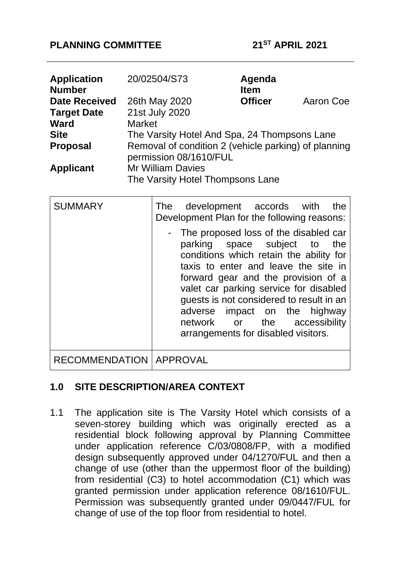### **PLANNING COMMITTEE 21ST APRIL 2021**

| <b>Application</b><br><b>Number</b> | 20/02504/S73                                                                   | Agenda<br><b>Item</b> |           |
|-------------------------------------|--------------------------------------------------------------------------------|-----------------------|-----------|
| <b>Date Received</b>                | 26th May 2020                                                                  | <b>Officer</b>        | Aaron Coe |
| <b>Target Date</b>                  | 21st July 2020                                                                 |                       |           |
| <b>Ward</b>                         | <b>Market</b>                                                                  |                       |           |
| <b>Site</b>                         | The Varsity Hotel And Spa, 24 Thompsons Lane                                   |                       |           |
| <b>Proposal</b>                     | Removal of condition 2 (vehicle parking) of planning<br>permission 08/1610/FUL |                       |           |
| <b>Applicant</b>                    | <b>Mr William Davies</b><br>The Varsity Hotel Thompsons Lane                   |                       |           |

| <b>SUMMARY</b>                   | development accords with<br>the<br>The<br>Development Plan for the following reasons:                                                                                                                                                                                                                                                                                                                 |
|----------------------------------|-------------------------------------------------------------------------------------------------------------------------------------------------------------------------------------------------------------------------------------------------------------------------------------------------------------------------------------------------------------------------------------------------------|
|                                  | - The proposed loss of the disabled car<br>parking space subject to<br>the<br>conditions which retain the ability for<br>taxis to enter and leave the site in<br>forward gear and the provision of a<br>valet car parking service for disabled<br>guests is not considered to result in an<br>adverse<br>impact on the highway<br>network or the accessibility<br>arrangements for disabled visitors. |
| <b>RECOMMENDATION   APPROVAL</b> |                                                                                                                                                                                                                                                                                                                                                                                                       |

### **1.0 SITE DESCRIPTION/AREA CONTEXT**

1.1 The application site is The Varsity Hotel which consists of a seven-storey building which was originally erected as a residential block following approval by Planning Committee under application reference C/03/0808/FP, with a modified design subsequently approved under 04/1270/FUL and then a change of use (other than the uppermost floor of the building) from residential (C3) to hotel accommodation (C1) which was granted permission under application reference 08/1610/FUL. Permission was subsequently granted under 09/0447/FUL for change of use of the top floor from residential to hotel.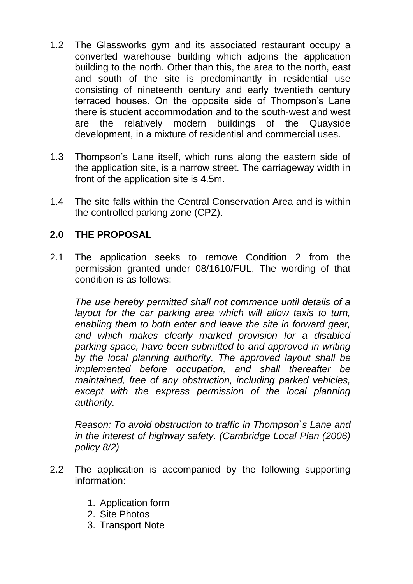- 1.2 The Glassworks gym and its associated restaurant occupy a converted warehouse building which adjoins the application building to the north. Other than this, the area to the north, east and south of the site is predominantly in residential use consisting of nineteenth century and early twentieth century terraced houses. On the opposite side of Thompson's Lane there is student accommodation and to the south-west and west are the relatively modern buildings of the Quayside development, in a mixture of residential and commercial uses.
- 1.3 Thompson's Lane itself, which runs along the eastern side of the application site, is a narrow street. The carriageway width in front of the application site is 4.5m.
- 1.4 The site falls within the Central Conservation Area and is within the controlled parking zone (CPZ).

# **2.0 THE PROPOSAL**

2.1 The application seeks to remove Condition 2 from the permission granted under 08/1610/FUL. The wording of that condition is as follows:

*The use hereby permitted shall not commence until details of a layout for the car parking area which will allow taxis to turn, enabling them to both enter and leave the site in forward gear, and which makes clearly marked provision for a disabled parking space, have been submitted to and approved in writing by the local planning authority. The approved layout shall be implemented before occupation, and shall thereafter be maintained, free of any obstruction, including parked vehicles, except with the express permission of the local planning authority.*

*Reason: To avoid obstruction to traffic in Thompson`s Lane and in the interest of highway safety. (Cambridge Local Plan (2006) policy 8/2)*

- 2.2 The application is accompanied by the following supporting information:
	- 1. Application form
	- 2. Site Photos
	- 3. Transport Note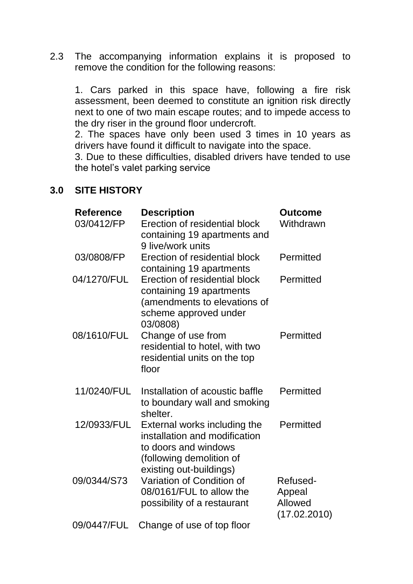2.3 The accompanying information explains it is proposed to remove the condition for the following reasons:

1. Cars parked in this space have, following a fire risk assessment, been deemed to constitute an ignition risk directly next to one of two main escape routes; and to impede access to the dry riser in the ground floor undercroft.

2. The spaces have only been used 3 times in 10 years as drivers have found it difficult to navigate into the space.

3. Due to these difficulties, disabled drivers have tended to use the hotel's valet parking service

#### **3.0 SITE HISTORY**

| <b>Reference</b><br>03/0412/FP | <b>Description</b><br>Erection of residential block<br>containing 19 apartments and<br>9 live/work units                                     | <b>Outcome</b><br>Withdrawn                   |
|--------------------------------|----------------------------------------------------------------------------------------------------------------------------------------------|-----------------------------------------------|
| 03/0808/FP                     | Erection of residential block<br>containing 19 apartments                                                                                    | Permitted                                     |
| 04/1270/FUL                    | Erection of residential block<br>containing 19 apartments<br>(amendments to elevations of<br>scheme approved under<br>03/0808)               | Permitted                                     |
| 08/1610/FUL                    | Change of use from<br>residential to hotel, with two<br>residential units on the top<br>floor                                                | Permitted                                     |
| 11/0240/FUL                    | Installation of acoustic baffle<br>to boundary wall and smoking<br>shelter.                                                                  | Permitted                                     |
| 12/0933/FUL                    | External works including the<br>installation and modification<br>to doors and windows<br>(following demolition of<br>existing out-buildings) | Permitted                                     |
| 09/0344/S73                    | Variation of Condition of<br>08/0161/FUL to allow the<br>possibility of a restaurant                                                         | Refused-<br>Appeal<br>Allowed<br>(17.02.2010) |
| 09/0447/FUL                    | Change of use of top floor                                                                                                                   |                                               |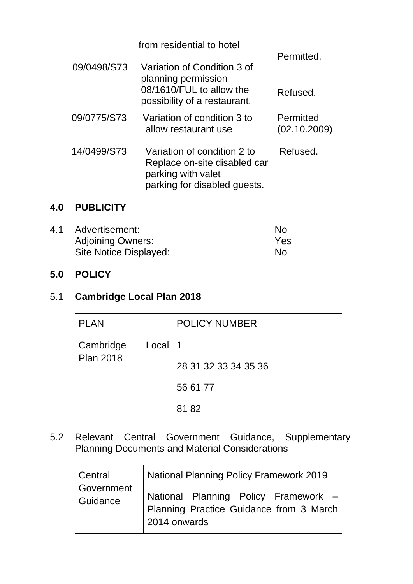|             | from residential to hotel                                                                                         | Permitted.                |
|-------------|-------------------------------------------------------------------------------------------------------------------|---------------------------|
| 09/0498/S73 | Variation of Condition 3 of<br>planning permission<br>08/1610/FUL to allow the                                    |                           |
|             | possibility of a restaurant.                                                                                      | Refused.                  |
| 09/0775/S73 | Variation of condition 3 to<br>allow restaurant use                                                               | Permitted<br>(02.10.2009) |
| 14/0499/S73 | Variation of condition 2 to<br>Replace on-site disabled car<br>parking with valet<br>parking for disabled quests. | Refused.                  |

# **4.0 PUBLICITY**

| 4.1 | Advertisement:           | No  |
|-----|--------------------------|-----|
|     | <b>Adjoining Owners:</b> | Yes |
|     | Site Notice Displayed:   | No  |

### **5.0 POLICY**

# 5.1 **Cambridge Local Plan 2018**

| <b>PLAN</b>      |           | <b>POLICY NUMBER</b> |
|------------------|-----------|----------------------|
| Cambridge        | Local   1 |                      |
| <b>Plan 2018</b> |           | 28 31 32 33 34 35 36 |
|                  |           | 56 61 77             |
|                  |           | 8182                 |

5.2 Relevant Central Government Guidance, Supplementary Planning Documents and Material Considerations

| Central                | National Planning Policy Framework 2019                                                         |  |
|------------------------|-------------------------------------------------------------------------------------------------|--|
| Government<br>Guidance | National Planning Policy Framework -<br>Planning Practice Guidance from 3 March<br>2014 onwards |  |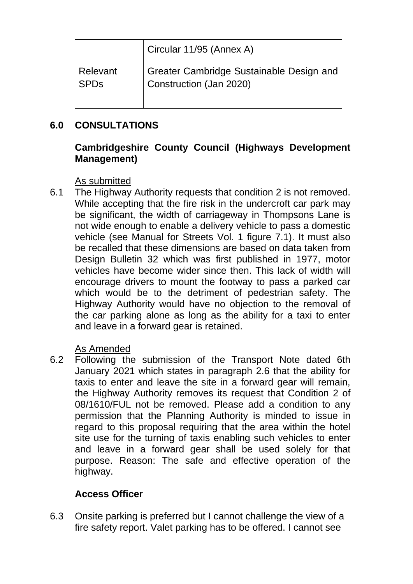|             | Circular 11/95 (Annex A)                 |
|-------------|------------------------------------------|
| Relevant    | Greater Cambridge Sustainable Design and |
| <b>SPDs</b> | Construction (Jan 2020)                  |

# **6.0 CONSULTATIONS**

# **Cambridgeshire County Council (Highways Development Management)**

### As submitted

6.1 The Highway Authority requests that condition 2 is not removed. While accepting that the fire risk in the undercroft car park may be significant, the width of carriageway in Thompsons Lane is not wide enough to enable a delivery vehicle to pass a domestic vehicle (see Manual for Streets Vol. 1 figure 7.1). It must also be recalled that these dimensions are based on data taken from Design Bulletin 32 which was first published in 1977, motor vehicles have become wider since then. This lack of width will encourage drivers to mount the footway to pass a parked car which would be to the detriment of pedestrian safety. The Highway Authority would have no objection to the removal of the car parking alone as long as the ability for a taxi to enter and leave in a forward gear is retained.

# As Amended

6.2 Following the submission of the Transport Note dated 6th January 2021 which states in paragraph 2.6 that the ability for taxis to enter and leave the site in a forward gear will remain, the Highway Authority removes its request that Condition 2 of 08/1610/FUL not be removed. Please add a condition to any permission that the Planning Authority is minded to issue in regard to this proposal requiring that the area within the hotel site use for the turning of taxis enabling such vehicles to enter and leave in a forward gear shall be used solely for that purpose. Reason: The safe and effective operation of the highway.

# **Access Officer**

6.3 Onsite parking is preferred but I cannot challenge the view of a fire safety report. Valet parking has to be offered. I cannot see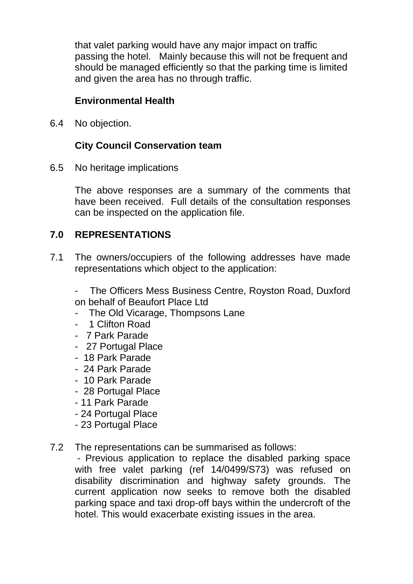that valet parking would have any major impact on traffic passing the hotel. Mainly because this will not be frequent and should be managed efficiently so that the parking time is limited and given the area has no through traffic.

# **Environmental Health**

6.4 No objection.

# **City Council Conservation team**

6.5 No heritage implications

The above responses are a summary of the comments that have been received. Full details of the consultation responses can be inspected on the application file.

### **7.0 REPRESENTATIONS**

7.1 The owners/occupiers of the following addresses have made representations which object to the application:

The Officers Mess Business Centre, Royston Road, Duxford on behalf of Beaufort Place Ltd

- The Old Vicarage, Thompsons Lane
- 1 Clifton Road
- 7 Park Parade
- 27 Portugal Place
- 18 Park Parade
- 24 Park Parade
- 10 Park Parade
- 28 Portugal Place
- 11 Park Parade
- 24 Portugal Place
- 23 Portugal Place
- 7.2 The representations can be summarised as follows:

- Previous application to replace the disabled parking space with free valet parking (ref 14/0499/S73) was refused on disability discrimination and highway safety grounds. The current application now seeks to remove both the disabled parking space and taxi drop-off bays within the undercroft of the hotel. This would exacerbate existing issues in the area.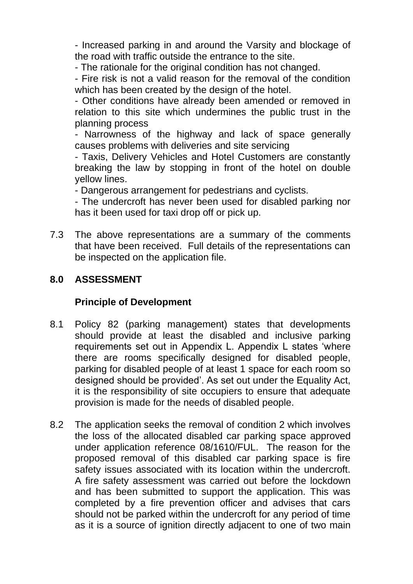- Increased parking in and around the Varsity and blockage of the road with traffic outside the entrance to the site.

- The rationale for the original condition has not changed.

- Fire risk is not a valid reason for the removal of the condition which has been created by the design of the hotel.

- Other conditions have already been amended or removed in relation to this site which undermines the public trust in the planning process

- Narrowness of the highway and lack of space generally causes problems with deliveries and site servicing

- Taxis, Delivery Vehicles and Hotel Customers are constantly breaking the law by stopping in front of the hotel on double yellow lines.

- Dangerous arrangement for pedestrians and cyclists.

- The undercroft has never been used for disabled parking nor has it been used for taxi drop off or pick up.

7.3 The above representations are a summary of the comments that have been received. Full details of the representations can be inspected on the application file.

# **8.0 ASSESSMENT**

### **Principle of Development**

- 8.1 Policy 82 (parking management) states that developments should provide at least the disabled and inclusive parking requirements set out in Appendix L. Appendix L states 'where there are rooms specifically designed for disabled people, parking for disabled people of at least 1 space for each room so designed should be provided'. As set out under the Equality Act, it is the responsibility of site occupiers to ensure that adequate provision is made for the needs of disabled people.
- 8.2 The application seeks the removal of condition 2 which involves the loss of the allocated disabled car parking space approved under application reference 08/1610/FUL. The reason for the proposed removal of this disabled car parking space is fire safety issues associated with its location within the undercroft. A fire safety assessment was carried out before the lockdown and has been submitted to support the application. This was completed by a fire prevention officer and advises that cars should not be parked within the undercroft for any period of time as it is a source of ignition directly adjacent to one of two main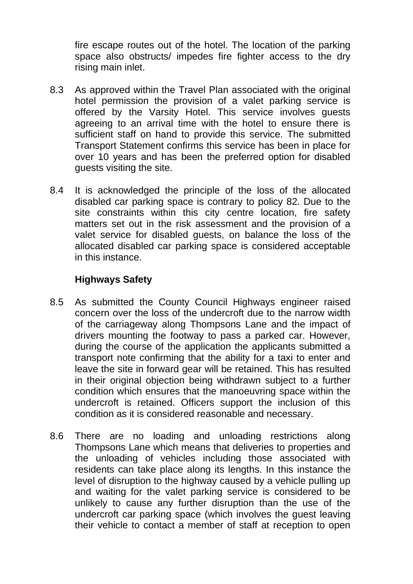fire escape routes out of the hotel. The location of the parking space also obstructs/ impedes fire fighter access to the dry rising main inlet.

- 8.3 As approved within the Travel Plan associated with the original hotel permission the provision of a valet parking service is offered by the Varsity Hotel. This service involves guests agreeing to an arrival time with the hotel to ensure there is sufficient staff on hand to provide this service. The submitted Transport Statement confirms this service has been in place for over 10 years and has been the preferred option for disabled guests visiting the site.
- 8.4 It is acknowledged the principle of the loss of the allocated disabled car parking space is contrary to policy 82. Due to the site constraints within this city centre location, fire safety matters set out in the risk assessment and the provision of a valet service for disabled guests, on balance the loss of the allocated disabled car parking space is considered acceptable in this instance.

# **Highways Safety**

- 8.5 As submitted the County Council Highways engineer raised concern over the loss of the undercroft due to the narrow width of the carriageway along Thompsons Lane and the impact of drivers mounting the footway to pass a parked car. However, during the course of the application the applicants submitted a transport note confirming that the ability for a taxi to enter and leave the site in forward gear will be retained. This has resulted in their original objection being withdrawn subject to a further condition which ensures that the manoeuvring space within the undercroft is retained. Officers support the inclusion of this condition as it is considered reasonable and necessary.
- 8.6 There are no loading and unloading restrictions along Thompsons Lane which means that deliveries to properties and the unloading of vehicles including those associated with residents can take place along its lengths. In this instance the level of disruption to the highway caused by a vehicle pulling up and waiting for the valet parking service is considered to be unlikely to cause any further disruption than the use of the undercroft car parking space (which involves the guest leaving their vehicle to contact a member of staff at reception to open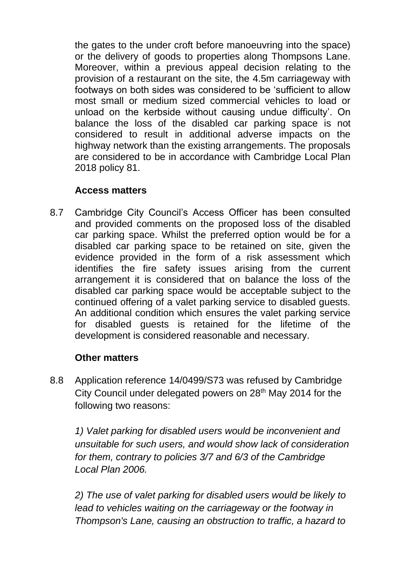the gates to the under croft before manoeuvring into the space) or the delivery of goods to properties along Thompsons Lane. Moreover, within a previous appeal decision relating to the provision of a restaurant on the site, the 4.5m carriageway with footways on both sides was considered to be 'sufficient to allow most small or medium sized commercial vehicles to load or unload on the kerbside without causing undue difficulty'. On balance the loss of the disabled car parking space is not considered to result in additional adverse impacts on the highway network than the existing arrangements. The proposals are considered to be in accordance with Cambridge Local Plan 2018 policy 81.

# **Access matters**

8.7 Cambridge City Council's Access Officer has been consulted and provided comments on the proposed loss of the disabled car parking space. Whilst the preferred option would be for a disabled car parking space to be retained on site, given the evidence provided in the form of a risk assessment which identifies the fire safety issues arising from the current arrangement it is considered that on balance the loss of the disabled car parking space would be acceptable subject to the continued offering of a valet parking service to disabled guests. An additional condition which ensures the valet parking service for disabled guests is retained for the lifetime of the development is considered reasonable and necessary.

### **Other matters**

8.8 Application reference 14/0499/S73 was refused by Cambridge City Council under delegated powers on 28th May 2014 for the following two reasons:

*1) Valet parking for disabled users would be inconvenient and unsuitable for such users, and would show lack of consideration for them, contrary to policies 3/7 and 6/3 of the Cambridge Local Plan 2006.*

*2) The use of valet parking for disabled users would be likely to lead to vehicles waiting on the carriageway or the footway in Thompson's Lane, causing an obstruction to traffic, a hazard to*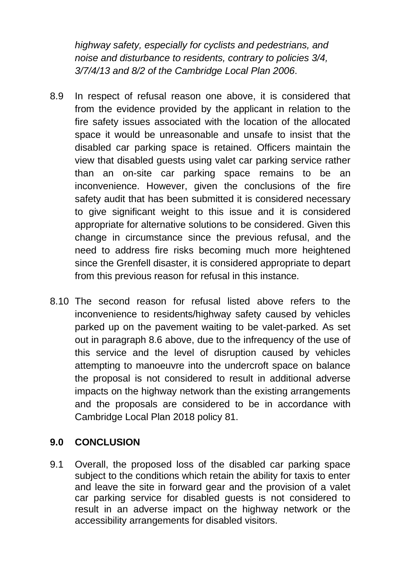*highway safety, especially for cyclists and pedestrians, and noise and disturbance to residents, contrary to policies 3/4, 3/7/4/13 and 8/2 of the Cambridge Local Plan 2006*.

- 8.9 In respect of refusal reason one above, it is considered that from the evidence provided by the applicant in relation to the fire safety issues associated with the location of the allocated space it would be unreasonable and unsafe to insist that the disabled car parking space is retained. Officers maintain the view that disabled guests using valet car parking service rather than an on-site car parking space remains to be an inconvenience. However, given the conclusions of the fire safety audit that has been submitted it is considered necessary to give significant weight to this issue and it is considered appropriate for alternative solutions to be considered. Given this change in circumstance since the previous refusal, and the need to address fire risks becoming much more heightened since the Grenfell disaster, it is considered appropriate to depart from this previous reason for refusal in this instance.
- 8.10 The second reason for refusal listed above refers to the inconvenience to residents/highway safety caused by vehicles parked up on the pavement waiting to be valet-parked. As set out in paragraph 8.6 above, due to the infrequency of the use of this service and the level of disruption caused by vehicles attempting to manoeuvre into the undercroft space on balance the proposal is not considered to result in additional adverse impacts on the highway network than the existing arrangements and the proposals are considered to be in accordance with Cambridge Local Plan 2018 policy 81.

### **9.0 CONCLUSION**

9.1 Overall, the proposed loss of the disabled car parking space subject to the conditions which retain the ability for taxis to enter and leave the site in forward gear and the provision of a valet car parking service for disabled guests is not considered to result in an adverse impact on the highway network or the accessibility arrangements for disabled visitors.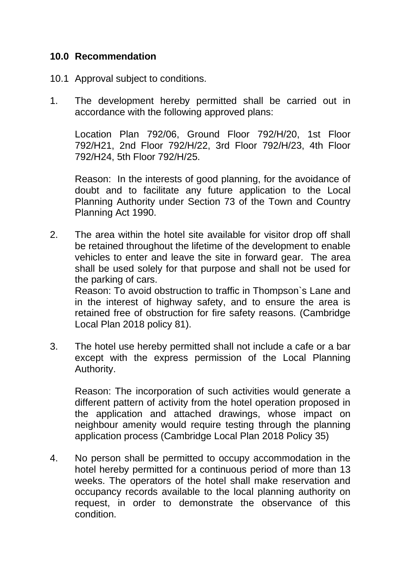#### **10.0 Recommendation**

- 10.1 Approval subject to conditions.
- 1. The development hereby permitted shall be carried out in accordance with the following approved plans:

Location Plan 792/06, Ground Floor 792/H/20, 1st Floor 792/H21, 2nd Floor 792/H/22, 3rd Floor 792/H/23, 4th Floor 792/H24, 5th Floor 792/H/25.

Reason: In the interests of good planning, for the avoidance of doubt and to facilitate any future application to the Local Planning Authority under Section 73 of the Town and Country Planning Act 1990.

2. The area within the hotel site available for visitor drop off shall be retained throughout the lifetime of the development to enable vehicles to enter and leave the site in forward gear. The area shall be used solely for that purpose and shall not be used for the parking of cars.

Reason: To avoid obstruction to traffic in Thompson`s Lane and in the interest of highway safety, and to ensure the area is retained free of obstruction for fire safety reasons. (Cambridge Local Plan 2018 policy 81).

3. The hotel use hereby permitted shall not include a cafe or a bar except with the express permission of the Local Planning Authority.

Reason: The incorporation of such activities would generate a different pattern of activity from the hotel operation proposed in the application and attached drawings, whose impact on neighbour amenity would require testing through the planning application process (Cambridge Local Plan 2018 Policy 35)

4. No person shall be permitted to occupy accommodation in the hotel hereby permitted for a continuous period of more than 13 weeks. The operators of the hotel shall make reservation and occupancy records available to the local planning authority on request, in order to demonstrate the observance of this condition.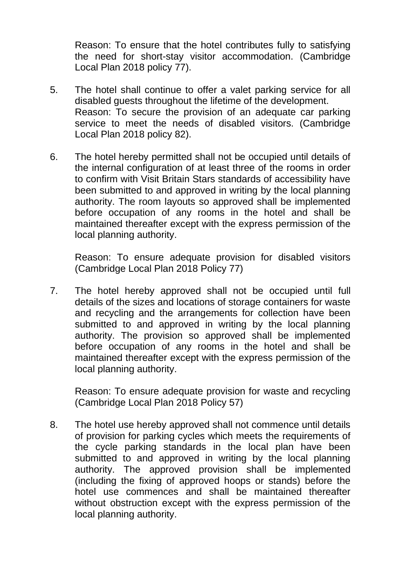Reason: To ensure that the hotel contributes fully to satisfying the need for short-stay visitor accommodation. (Cambridge Local Plan 2018 policy 77).

- 5. The hotel shall continue to offer a valet parking service for all disabled guests throughout the lifetime of the development. Reason: To secure the provision of an adequate car parking service to meet the needs of disabled visitors. (Cambridge Local Plan 2018 policy 82).
- 6. The hotel hereby permitted shall not be occupied until details of the internal configuration of at least three of the rooms in order to confirm with Visit Britain Stars standards of accessibility have been submitted to and approved in writing by the local planning authority. The room layouts so approved shall be implemented before occupation of any rooms in the hotel and shall be maintained thereafter except with the express permission of the local planning authority.

Reason: To ensure adequate provision for disabled visitors (Cambridge Local Plan 2018 Policy 77)

7. The hotel hereby approved shall not be occupied until full details of the sizes and locations of storage containers for waste and recycling and the arrangements for collection have been submitted to and approved in writing by the local planning authority. The provision so approved shall be implemented before occupation of any rooms in the hotel and shall be maintained thereafter except with the express permission of the local planning authority.

Reason: To ensure adequate provision for waste and recycling (Cambridge Local Plan 2018 Policy 57)

8. The hotel use hereby approved shall not commence until details of provision for parking cycles which meets the requirements of the cycle parking standards in the local plan have been submitted to and approved in writing by the local planning authority. The approved provision shall be implemented (including the fixing of approved hoops or stands) before the hotel use commences and shall be maintained thereafter without obstruction except with the express permission of the local planning authority.